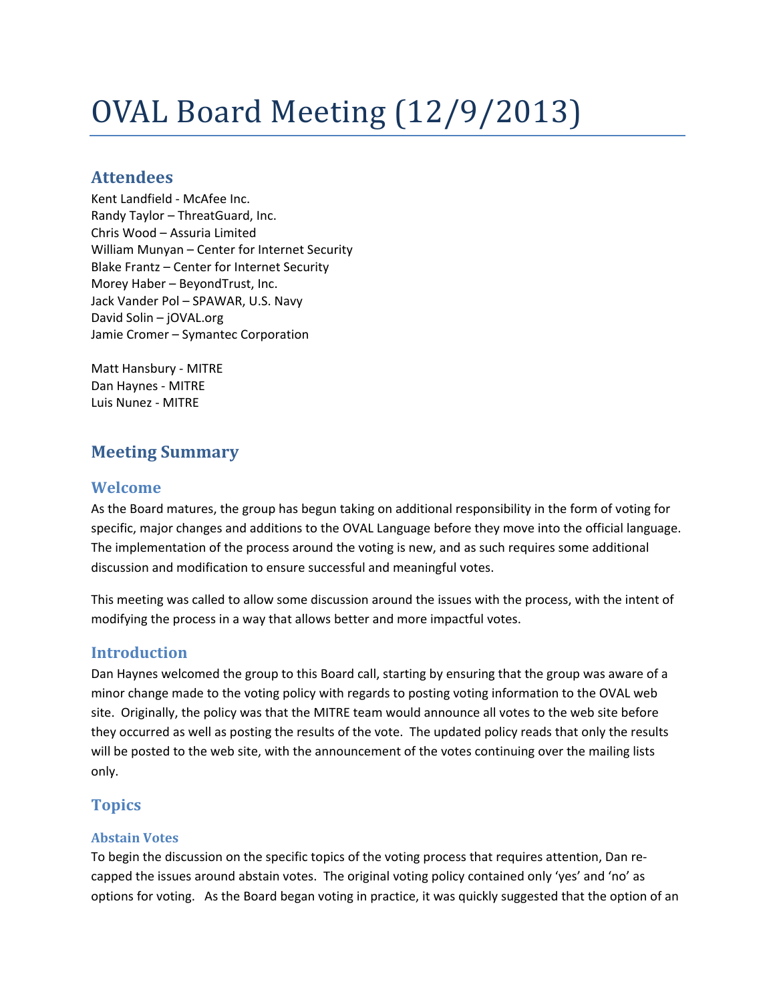# OVAL Board Meeting (12/9/2013)

## **Attendees**

Kent Landfield - McAfee Inc. Randy Taylor – ThreatGuard, Inc. Chris Wood – Assuria Limited William Munyan – Center for Internet Security Blake Frantz – Center for Internet Security Morey Haber – BeyondTrust, Inc. Jack Vander Pol – SPAWAR, U.S. Navy David Solin – jOVAL.org Jamie Cromer – Symantec Corporation

Matt Hansbury - MITRE Dan Haynes - MITRE Luis Nunez - MITRE

## **Meeting Summary**

## **Welcome**

As the Board matures, the group has begun taking on additional responsibility in the form of voting for specific, major changes and additions to the OVAL Language before they move into the official language. The implementation of the process around the voting is new, and as such requires some additional discussion and modification to ensure successful and meaningful votes.

This meeting was called to allow some discussion around the issues with the process, with the intent of modifying the process in a way that allows better and more impactful votes.

## **Introduction**

Dan Haynes welcomed the group to this Board call, starting by ensuring that the group was aware of a minor change made to the voting policy with regards to posting voting information to the OVAL web site. Originally, the policy was that the MITRE team would announce all votes to the web site before they occurred as well as posting the results of the vote. The updated policy reads that only the results will be posted to the web site, with the announcement of the votes continuing over the mailing lists only.

## **Topics**

#### **Abstain Votes**

To begin the discussion on the specific topics of the voting process that requires attention, Dan recapped the issues around abstain votes. The original voting policy contained only 'yes' and 'no' as options for voting. As the Board began voting in practice, it was quickly suggested that the option of an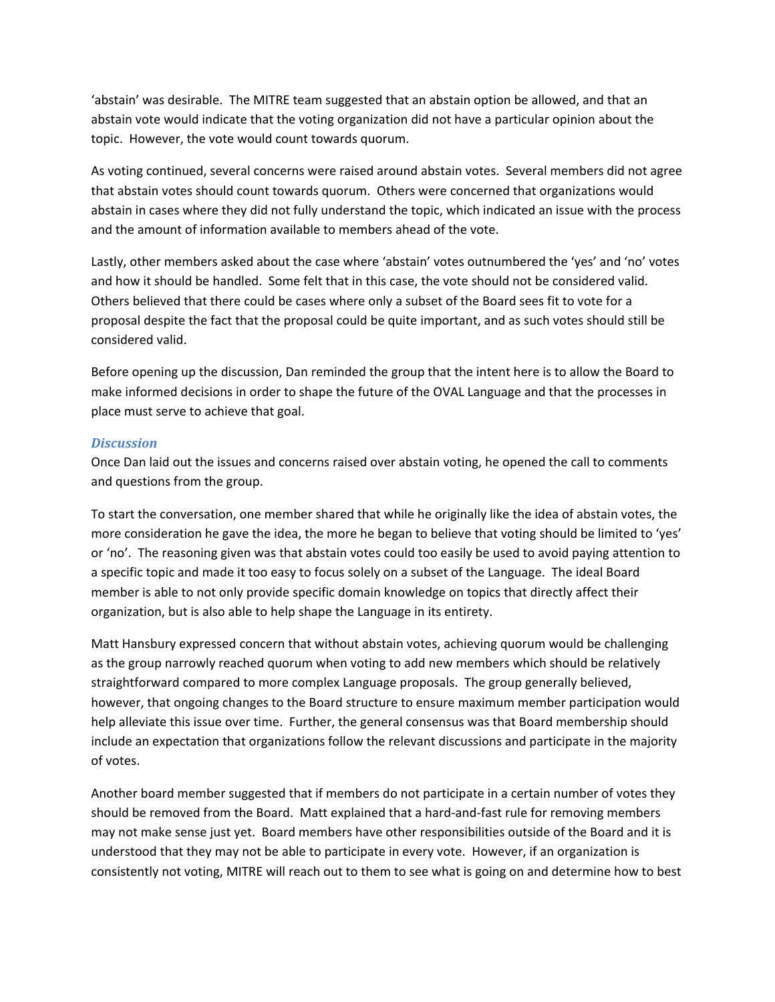'abstain' was desirable. The MITRE team suggested that an abstain option be allowed, and that an abstain vote would indicate that the voting organization did not have a particular opinion about the topic. However, the vote would count towards quorum.

As voting continued, several concerns were raised around abstain votes. Several members did not agree that abstain votes should count towards quorum. Others were concerned that organizations would abstain in cases where they did not fully understand the topic, which indicated an issue with the process and the amount of information available to members ahead of the vote.

Lastly, other members asked about the case where 'abstain' votes outnumbered the 'yes' and 'no' votes and how it should be handled. Some felt that in this case, the vote should not be considered valid. Others believed that there could be cases where only a subset of the Board sees fit to vote for a proposal despite the fact that the proposal could be quite important, and as such votes should still be considered valid.

Before opening up the discussion, Dan reminded the group that the intent here is to allow the Board to make informed decisions in order to shape the future of the OVAL Language and that the processes in place must serve to achieve that goal.

#### *Discussion*

Once Dan laid out the issues and concerns raised over abstain voting, he opened the call to comments and questions from the group.

To start the conversation, one member shared that while he originally like the idea of abstain votes, the more consideration he gave the idea, the more he began to believe that voting should be limited to 'yes' or 'no'. The reasoning given was that abstain votes could too easily be used to avoid paying attention to a specific topic and made it too easy to focus solely on a subset of the Language. The ideal Board member is able to not only provide specific domain knowledge on topics that directly affect their organization, but is also able to help shape the Language in its entirety.

Matt Hansbury expressed concern that without abstain votes, achieving quorum would be challenging as the group narrowly reached quorum when voting to add new members which should be relatively straightforward compared to more complex Language proposals. The group generally believed, however, that ongoing changes to the Board structure to ensure maximum member participation would help alleviate this issue over time. Further, the general consensus was that Board membership should include an expectation that organizations follow the relevant discussions and participate in the majority of votes.

Another board member suggested that if members do not participate in a certain number of votes they should be removed from the Board. Matt explained that a hard-and-fast rule for removing members may not make sense just yet. Board members have other responsibilities outside of the Board and it is understood that they may not be able to participate in every vote. However, if an organization is consistently not voting, MITRE will reach out to them to see what is going on and determine how to best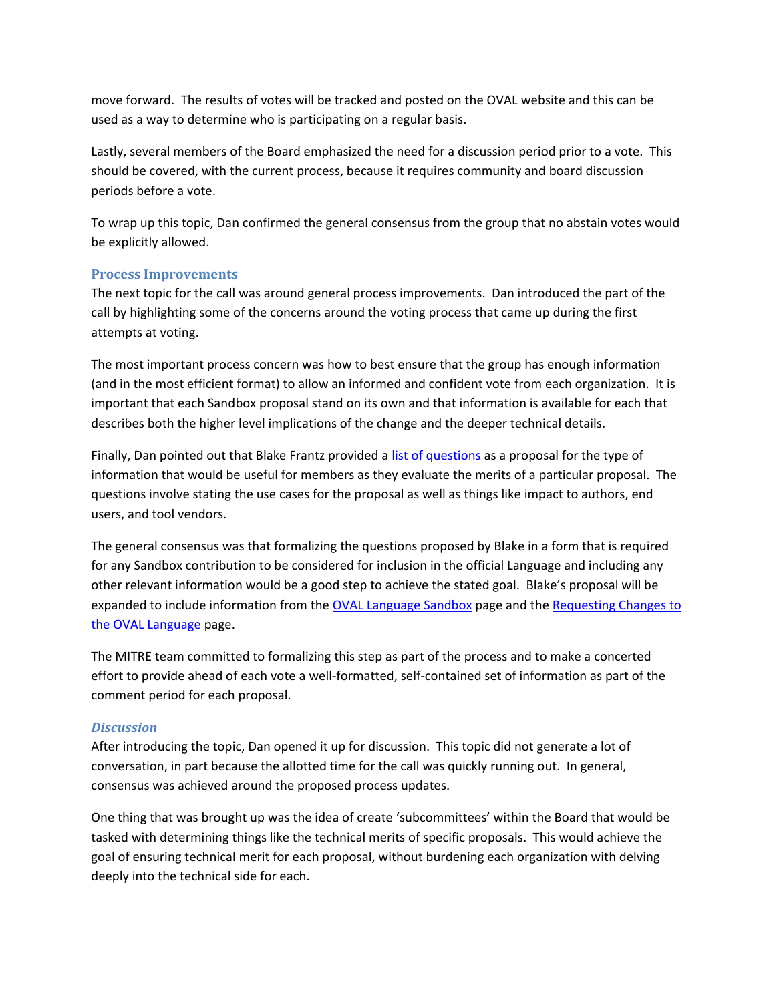move forward. The results of votes will be tracked and posted on the OVAL website and this can be used as a way to determine who is participating on a regular basis.

Lastly, several members of the Board emphasized the need for a discussion period prior to a vote. This should be covered, with the current process, because it requires community and board discussion periods before a vote.

To wrap up this topic, Dan confirmed the general consensus from the group that no abstain votes would be explicitly allowed.

#### **Process Improvements**

The next topic for the call was around general process improvements. Dan introduced the part of the call by highlighting some of the concerns around the voting process that came up during the first attempts at voting.

The most important process concern was how to best ensure that the group has enough information (and in the most efficient format) to allow an informed and confident vote from each organization. It is important that each Sandbox proposal stand on its own and that information is available for each that describes both the higher level implications of the change and the deeper technical details.

Finally, Dan pointed out that Blake Frantz provided a [list of questions](https://gist.github.com/blakefrantz/1a25eda5dac7ad666268) as a proposal for the type of information that would be useful for members as they evaluate the merits of a particular proposal. The questions involve stating the use cases for the proposal as well as things like impact to authors, end users, and tool vendors.

The general consensus was that formalizing the questions proposed by Blake in a form that is required for any Sandbox contribution to be considered for inclusion in the official Language and including any other relevant information would be a good step to achieve the stated goal. Blake's proposal will be expanded to include information from the [OVAL Language Sandbox](http://oval.mitre.org/language/sandbox.html) page and the Requesting Changes to [the OVAL Language](http://oval.mitre.org/language/about/change_requests.html) page.

The MITRE team committed to formalizing this step as part of the process and to make a concerted effort to provide ahead of each vote a well-formatted, self-contained set of information as part of the comment period for each proposal.

#### *Discussion*

After introducing the topic, Dan opened it up for discussion. This topic did not generate a lot of conversation, in part because the allotted time for the call was quickly running out. In general, consensus was achieved around the proposed process updates.

One thing that was brought up was the idea of create 'subcommittees' within the Board that would be tasked with determining things like the technical merits of specific proposals. This would achieve the goal of ensuring technical merit for each proposal, without burdening each organization with delving deeply into the technical side for each.